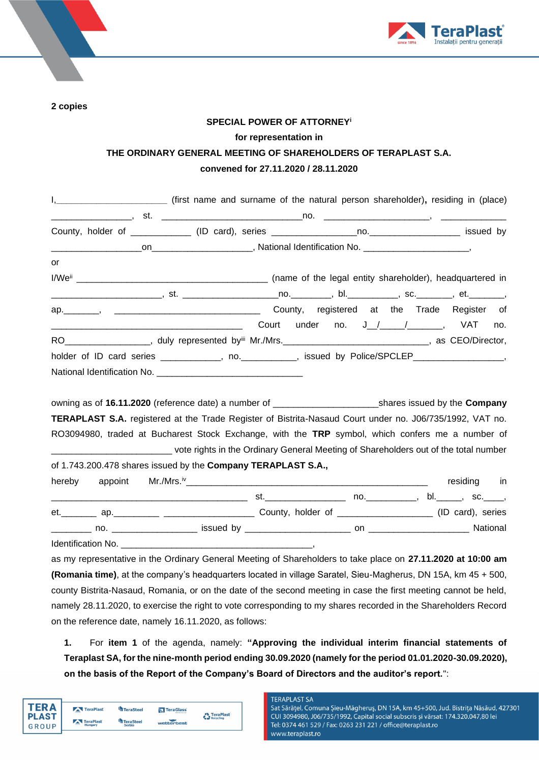

**2 copies**

# **SPECIAL POWER OF ATTORNEY<sup>i</sup> for representation in THE ORDINARY GENERAL MEETING OF SHAREHOLDERS OF TERAPLAST S.A. convened for 27.11.2020 / 28.11.2020**

| I, ________________________________ (first name and surname of the natural person shareholder), residing in (place)                                                                                                           |     |
|-------------------------------------------------------------------------------------------------------------------------------------------------------------------------------------------------------------------------------|-----|
|                                                                                                                                                                                                                               |     |
|                                                                                                                                                                                                                               |     |
|                                                                                                                                                                                                                               |     |
| or                                                                                                                                                                                                                            |     |
|                                                                                                                                                                                                                               |     |
|                                                                                                                                                                                                                               |     |
| ap. Mannes Anti- and County, registered at the Trade Register of                                                                                                                                                              |     |
|                                                                                                                                                                                                                               | no. |
| RO____________________, duly represented by <sup>iii</sup> Mr./Mrs.__________________________________, as CEO/Director,                                                                                                       |     |
| holder of ID card series ____________, no. __________, issued by Police/SPCLEP_______________,                                                                                                                                |     |
|                                                                                                                                                                                                                               |     |
|                                                                                                                                                                                                                               |     |
| owning as of 16.11.2020 (reference date) a number of _______________________________shares issued by the Company                                                                                                              |     |
| TERAPLAST S.A. registered at the Trade Register of Bistrita-Nasaud Court under no. J06/735/1992, VAT no.                                                                                                                      |     |
| RO3094980, traded at Bucharest Stock Exchange, with the TRP symbol, which confers me a number of                                                                                                                              |     |
| _________________________________ vote rights in the Ordinary General Meeting of Shareholders out of the total number                                                                                                         |     |
| of 1.743.200.478 shares issued by the Company TERAPLAST S.A.,                                                                                                                                                                 |     |
| hereby<br>appoint                                                                                                                                                                                                             |     |
|                                                                                                                                                                                                                               |     |
| et. 40. Ap. 20. Apr 20. Apr 20. County, holder of Apple 20. App 20. Apple 20. App 20. App 20. App 20. App 20. App 20. App 20. App 20. App 20. App 20. App 20. App 20. App 20. App 20. App 20. App 20. App 20. App 20. App 20. |     |
|                                                                                                                                                                                                                               |     |
|                                                                                                                                                                                                                               |     |
| as my representative in the Ordinary General Meeting of Shareholders to take place on 27.11.2020 at 10:00 am                                                                                                                  |     |
| (Romania time), at the company's headquarters located in village Saratel, Sieu-Magherus, DN 15A, km 45 + 500,                                                                                                                 |     |
| county Bistrita-Nasaud, Romania, or on the date of the second meeting in case the first meeting cannot be held,                                                                                                               |     |

namely 28.11.2020, to exercise the right to vote corresponding to my shares recorded in the Shareholders Record on the reference date, namely 16.11.2020, as follows:

**1.** For **item 1** of the agenda, namely: **"Approving the individual interim financial statements of Teraplast SA, for the nine-month period ending 30.09.2020 (namely for the period 01.01.2020-30.09.2020), on the basis of the Report of the Company's Board of Directors and the auditor's report.**":

| TFR A<br><b>PLAST</b> | TeraPlast            | TeraSteel                         | <b>N</b> TeraGlass | <b>TeraPlast</b>      |
|-----------------------|----------------------|-----------------------------------|--------------------|-----------------------|
| <b>GROUP</b>          | TeraPlast<br>Hungary | <b>TeraSteel</b><br><b>Serbia</b> | wetterbest         | $T_{\rm H}$ Recycling |

#### **TERAPLAST SA**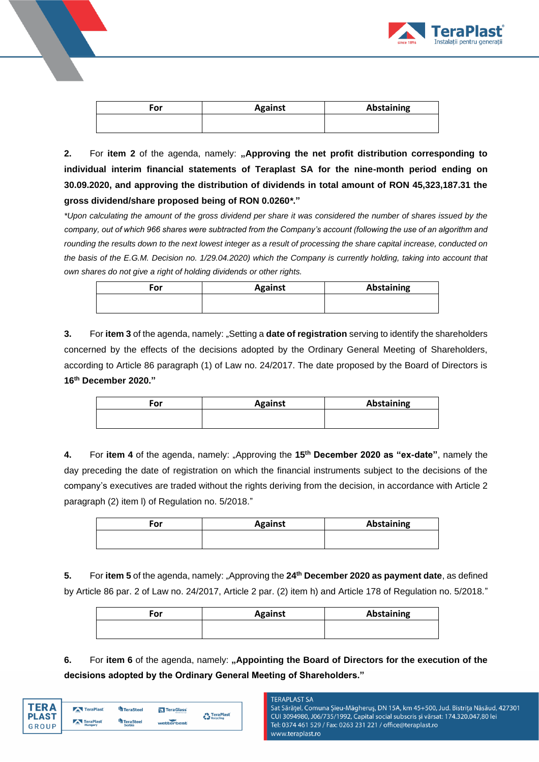

| For | <b>Against</b> | Abstaining |
|-----|----------------|------------|
|     |                |            |

2. For item 2 of the agenda, namely: "Approving the net profit distribution corresponding to **individual interim financial statements of Teraplast SA for the nine-month period ending on 30.09.2020, and approving the distribution of dividends in total amount of RON 45,323,187.31 the gross dividend/share proposed being of RON 0.0260***\****."**

*\*Upon calculating the amount of the gross dividend per share it was considered the number of shares issued by the company, out of which 966 shares were subtracted from the Company's account (following the use of an algorithm and rounding the results down to the next lowest integer as a result of processing the share capital increase, conducted on*  the basis of the E.G.M. Decision no. 1/29.04.2020) which the Company is currently holding, taking into account that *own shares do not give a right of holding dividends or other rights.*

| For | <b>Against</b> | <b>Abstaining</b> |
|-----|----------------|-------------------|
|     |                |                   |

**3.** For **item 3** of the agenda, namely: "Setting a **date of registration** serving to identify the shareholders concerned by the effects of the decisions adopted by the Ordinary General Meeting of Shareholders, according to Article 86 paragraph (1) of Law no. 24/2017. The date proposed by the Board of Directors is **16th December 2020."**

| For | <b>Against</b> | <b>Abstaining</b> |
|-----|----------------|-------------------|
|     |                |                   |

**4.** For **item 4** of the agenda, namely: "Approving the **15th December 2020 as "ex-date"**, namely the day preceding the date of registration on which the financial instruments subject to the decisions of the company's executives are traded without the rights deriving from the decision, in accordance with Article 2 paragraph (2) item l) of Regulation no. 5/2018."

| For | <b>Against</b> | Abstaining |
|-----|----------------|------------|
|     |                |            |

**5.** For **item 5** of the agenda, namely: "Approving the 24<sup>th</sup> December 2020 as payment date, as defined by Article 86 par. 2 of Law no. 24/2017, Article 2 par. (2) item h) and Article 178 of Regulation no. 5/2018."

| For | <b>Against</b> | Abstaining |
|-----|----------------|------------|
|     |                |            |

**6.** For item 6 of the agenda, namely: "Appointing the Board of Directors for the execution of the **decisions adopted by the Ordinary General Meeting of Shareholders."**

| TFR A        | TeraPlast            | <b>TeraSteel</b>           | <b>N</b> TeraGlass | TeraPlast |
|--------------|----------------------|----------------------------|--------------------|-----------|
| <b>PLAST</b> | TeraPlast<br>Hungary | <b>TeraSteel</b><br>Serbia | wetterbest         | Recycling |
| <b>GROUP</b> |                      |                            |                    |           |

## **TERAPLAST SA**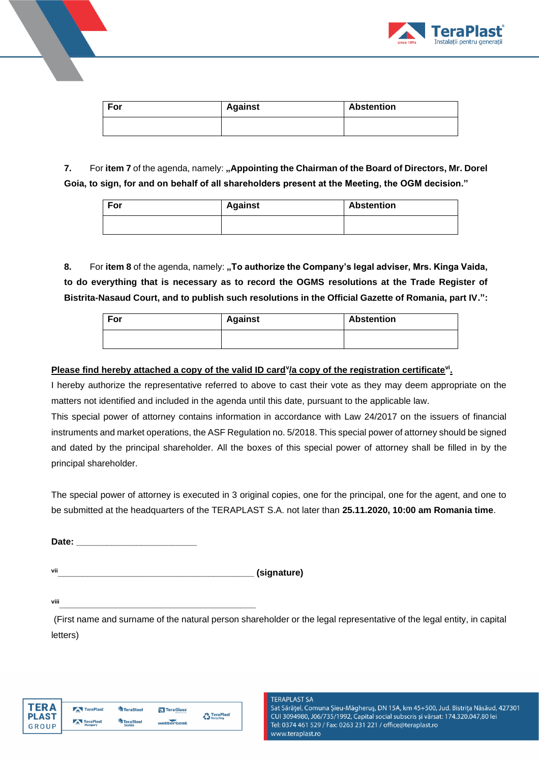

| For | <b>Against</b> | <b>Abstention</b> |
|-----|----------------|-------------------|
|     |                |                   |

**7.** For item 7 of the agenda, namely: "Appointing the Chairman of the Board of Directors, Mr. Dorel **Goia, to sign, for and on behalf of all shareholders present at the Meeting, the OGM decision."**

| For | <b>Against</b> | <b>Abstention</b> |
|-----|----------------|-------------------|
|     |                |                   |

**8.** For **item 8** of the agenda, namely: **"To authorize the Company's legal adviser, Mrs. Kinga Vaida, to do everything that is necessary as to record the OGMS resolutions at the Trade Register of Bistrita-Nasaud Court, and to publish such resolutions in the Official Gazette of Romania, part IV.":**

| For | <b>Against</b> | <b>Abstention</b> |
|-----|----------------|-------------------|
|     |                |                   |

# **Please find hereby attached a copy of the valid ID card<sup>v</sup> /a copy of the registration certificatevi .**

I hereby authorize the representative referred to above to cast their vote as they may deem appropriate on the matters not identified and included in the agenda until this date, pursuant to the applicable law.

This special power of attorney contains information in accordance with Law 24/2017 on the issuers of financial instruments and market operations, the ASF Regulation no. 5/2018. This special power of attorney should be signed and dated by the principal shareholder. All the boxes of this special power of attorney shall be filled in by the principal shareholder.

The special power of attorney is executed in 3 original copies, one for the principal, one for the agent, and one to be submitted at the headquarters of the TERAPLAST S.A. not later than **25.11.2020, 10:00 am Romania time**.

Date: <u>\_\_\_\_\_\_\_\_\_\_\_\_\_\_\_\_\_\_\_\_\_\_\_</u>

vii **blue and the contract of the contract of the contract of the contract of the contract of the contract of the contract of the contract of the contract of the contract of the contract of the contract of the contract of** 

**viii\_\_\_\_\_\_\_\_\_\_\_\_\_\_\_\_\_\_\_\_\_\_\_\_\_\_\_\_\_\_\_\_\_\_\_\_\_\_\_**

(First name and surname of the natural person shareholder or the legal representative of the legal entity, in capital letters)

| TFR Δ        | TeraPlast                 | <b>TeraSteel</b> | <b>N</b> TeraGlass<br>ferentre signi |                                               |
|--------------|---------------------------|------------------|--------------------------------------|-----------------------------------------------|
| <b>PLAST</b> | TeraPlast                 | <b>TeraSteel</b> |                                      | <b>TeraPlast</b><br><b>Te &amp; Recycling</b> |
| GROUP        | $\overline{a}$<br>Hungary | <b>Serbia</b>    | wetterbest                           |                                               |

### **TERAPLAST SA**